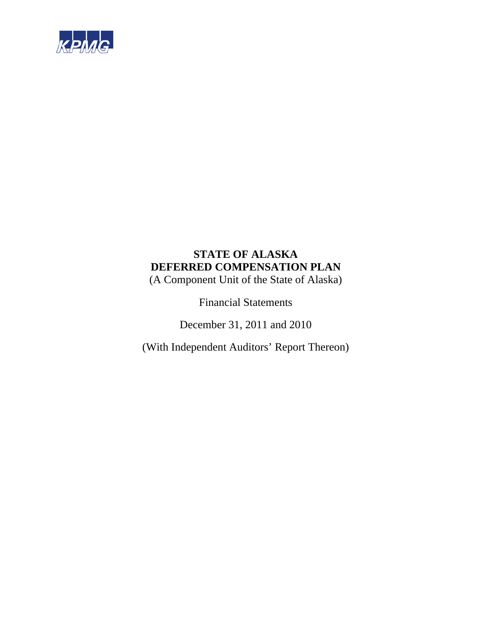

(A Component Unit of the State of Alaska)

Financial Statements

December 31, 2011 and 2010

(With Independent Auditors' Report Thereon)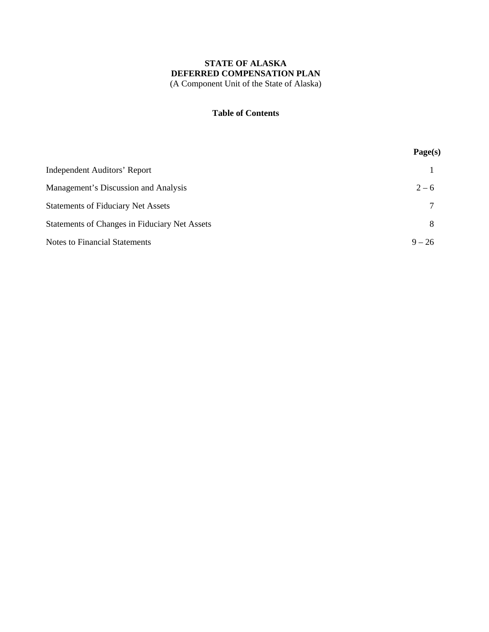### **Table of Contents**

|                                               | Page(s)  |
|-----------------------------------------------|----------|
| Independent Auditors' Report                  |          |
| Management's Discussion and Analysis          | $2 - 6$  |
| <b>Statements of Fiduciary Net Assets</b>     | 7        |
| Statements of Changes in Fiduciary Net Assets | 8        |
| <b>Notes to Financial Statements</b>          | $9 - 26$ |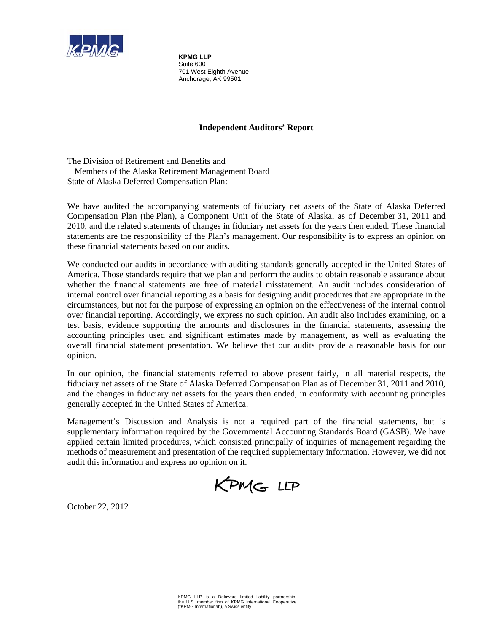

**KPMG LLP**  Suite 600 701 West Eighth Avenue Anchorage, AK 99501

## **Independent Auditors' Report**

The Division of Retirement and Benefits and Members of the Alaska Retirement Management Board State of Alaska Deferred Compensation Plan:

We have audited the accompanying statements of fiduciary net assets of the State of Alaska Deferred Compensation Plan (the Plan), a Component Unit of the State of Alaska, as of December 31, 2011 and 2010, and the related statements of changes in fiduciary net assets for the years then ended. These financial statements are the responsibility of the Plan's management. Our responsibility is to express an opinion on these financial statements based on our audits.

We conducted our audits in accordance with auditing standards generally accepted in the United States of America. Those standards require that we plan and perform the audits to obtain reasonable assurance about whether the financial statements are free of material misstatement. An audit includes consideration of internal control over financial reporting as a basis for designing audit procedures that are appropriate in the circumstances, but not for the purpose of expressing an opinion on the effectiveness of the internal control over financial reporting. Accordingly, we express no such opinion. An audit also includes examining, on a test basis, evidence supporting the amounts and disclosures in the financial statements, assessing the accounting principles used and significant estimates made by management, as well as evaluating the overall financial statement presentation. We believe that our audits provide a reasonable basis for our opinion.

In our opinion, the financial statements referred to above present fairly, in all material respects, the fiduciary net assets of the State of Alaska Deferred Compensation Plan as of December 31, 2011 and 2010, and the changes in fiduciary net assets for the years then ended, in conformity with accounting principles generally accepted in the United States of America.

Management's Discussion and Analysis is not a required part of the financial statements, but is supplementary information required by the Governmental Accounting Standards Board (GASB). We have applied certain limited procedures, which consisted principally of inquiries of management regarding the methods of measurement and presentation of the required supplementary information. However, we did not audit this information and express no opinion on it.

KPMG LLP

October 22, 2012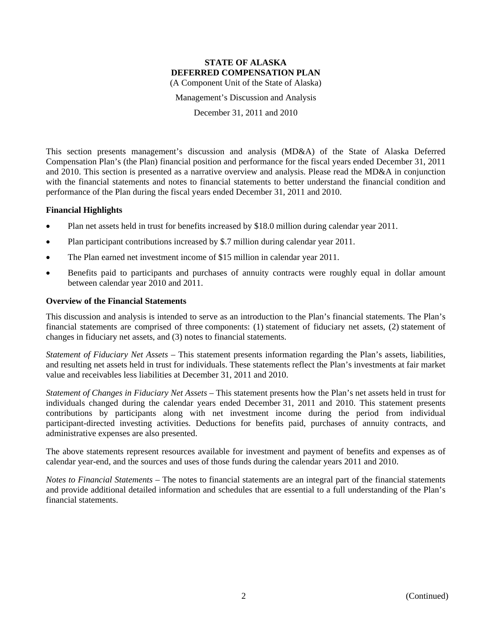Management's Discussion and Analysis

December 31, 2011 and 2010

This section presents management's discussion and analysis (MD&A) of the State of Alaska Deferred Compensation Plan's (the Plan) financial position and performance for the fiscal years ended December 31, 2011 and 2010. This section is presented as a narrative overview and analysis. Please read the MD&A in conjunction with the financial statements and notes to financial statements to better understand the financial condition and performance of the Plan during the fiscal years ended December 31, 2011 and 2010.

### **Financial Highlights**

- Plan net assets held in trust for benefits increased by \$18.0 million during calendar year 2011.
- Plan participant contributions increased by \$.7 million during calendar year 2011.
- The Plan earned net investment income of \$15 million in calendar year 2011.
- Benefits paid to participants and purchases of annuity contracts were roughly equal in dollar amount between calendar year 2010 and 2011.

#### **Overview of the Financial Statements**

This discussion and analysis is intended to serve as an introduction to the Plan's financial statements. The Plan's financial statements are comprised of three components: (1) statement of fiduciary net assets, (2) statement of changes in fiduciary net assets, and (3) notes to financial statements.

*Statement of Fiduciary Net Assets* – This statement presents information regarding the Plan's assets, liabilities, and resulting net assets held in trust for individuals. These statements reflect the Plan's investments at fair market value and receivables less liabilities at December 31, 2011 and 2010.

*Statement of Changes in Fiduciary Net Assets* – This statement presents how the Plan's net assets held in trust for individuals changed during the calendar years ended December 31, 2011 and 2010. This statement presents contributions by participants along with net investment income during the period from individual participant-directed investing activities. Deductions for benefits paid, purchases of annuity contracts, and administrative expenses are also presented.

The above statements represent resources available for investment and payment of benefits and expenses as of calendar year-end, and the sources and uses of those funds during the calendar years 2011 and 2010.

*Notes to Financial Statements* – The notes to financial statements are an integral part of the financial statements and provide additional detailed information and schedules that are essential to a full understanding of the Plan's financial statements.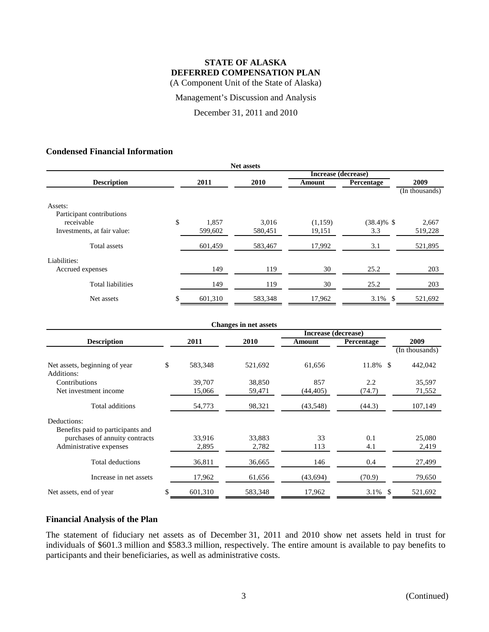Management's Discussion and Analysis

December 31, 2011 and 2010

## **Condensed Financial Information**

| <b>Net assets</b>           |    |         |         |                     |               |                |
|-----------------------------|----|---------|---------|---------------------|---------------|----------------|
|                             |    |         |         | Increase (decrease) |               |                |
| <b>Description</b>          |    | 2011    | 2010    | Amount              | Percentage    | 2009           |
|                             |    |         |         |                     |               | (In thousands) |
| Assets:                     |    |         |         |                     |               |                |
| Participant contributions   |    |         |         |                     |               |                |
| receivable                  | \$ | 1,857   | 3.016   | (1,159)             | $(38.4)\%$ \$ | 2,667          |
| Investments, at fair value: |    | 599,602 | 580,451 | 19,151              | 3.3           | 519,228        |
| Total assets                |    | 601,459 | 583,467 | 17,992              | 3.1           | 521,895        |
| Liabilities:                |    |         |         |                     |               |                |
| Accrued expenses            |    | 149     | 119     | 30                  | 25.2          | 203            |
| <b>Total liabilities</b>    |    | 149     | 119     | 30                  | 25.2          | 203            |
| Net assets                  | \$ | 601,310 | 583,348 | 17,962              | 3.1%<br>-\$   | 521,692        |

| <b>Changes in net assets</b>                |    |         |         |                     |            |  |                |
|---------------------------------------------|----|---------|---------|---------------------|------------|--|----------------|
|                                             |    |         |         | Increase (decrease) |            |  |                |
| <b>Description</b>                          |    | 2011    | 2010    | Amount              | Percentage |  | 2009           |
|                                             |    |         |         |                     |            |  | (In thousands) |
| Net assets, beginning of year<br>Additions: | \$ | 583,348 | 521,692 | 61,656              | 11.8% \$   |  | 442,042        |
| Contributions                               |    | 39,707  | 38,850  | 857                 | 2.2        |  | 35,597         |
| Net investment income                       |    | 15,066  | 59,471  | (44, 405)           | (74.7)     |  | 71,552         |
| Total additions                             |    | 54,773  | 98,321  | (43,548)            | (44.3)     |  | 107,149        |
| Deductions:                                 |    |         |         |                     |            |  |                |
| Benefits paid to participants and           |    |         |         |                     |            |  |                |
| purchases of annuity contracts              |    | 33,916  | 33,883  | 33                  | 0.1        |  | 25,080         |
| Administrative expenses                     |    | 2,895   | 2,782   | 113                 | 4.1        |  | 2,419          |
| Total deductions                            |    | 36,811  | 36,665  | 146                 | 0.4        |  | 27,499         |
| Increase in net assets                      |    | 17,962  | 61,656  | (43,694)            | (70.9)     |  | 79,650         |
| Net assets, end of year                     | \$ | 601,310 | 583,348 | 17,962              | 3.1% \$    |  | 521,692        |

### **Financial Analysis of the Plan**

The statement of fiduciary net assets as of December 31, 2011 and 2010 show net assets held in trust for individuals of \$601.3 million and \$583.3 million, respectively. The entire amount is available to pay benefits to participants and their beneficiaries, as well as administrative costs.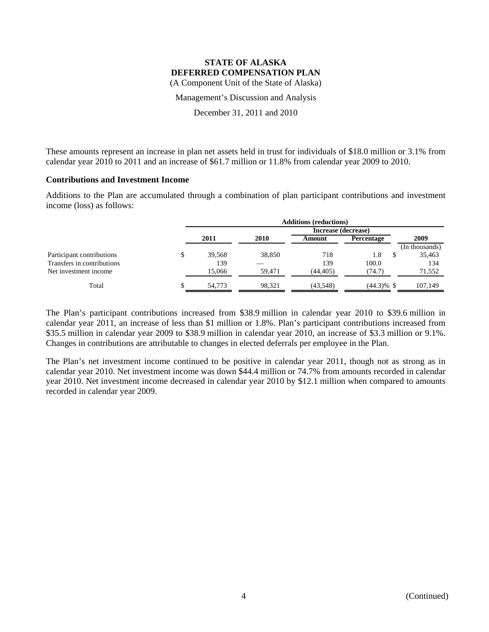Management's Discussion and Analysis

December 31, 2011 and 2010

These amounts represent an increase in plan net assets held in trust for individuals of \$18.0 million or 3.1% from calendar year 2010 to 2011 and an increase of \$61.7 million or 11.8% from calendar year 2009 to 2010.

#### **Contributions and Investment Income**

Additions to the Plan are accumulated through a combination of plan participant contributions and investment income (loss) as follows:

|                            | <b>Additions (reductions)</b> |        |                     |                   |                |
|----------------------------|-------------------------------|--------|---------------------|-------------------|----------------|
|                            |                               |        | Increase (decrease) |                   |                |
|                            | 2011                          | 2010   | Amount              | <b>Percentage</b> | 2009           |
|                            |                               |        |                     |                   | (In thousands) |
| Participant contributions  | 39.568                        | 38,850 | 718                 | 1.8               | 35,463         |
| Transfers in contributions | 139                           |        | 139                 | 100.0             | 134            |
| Net investment income      | 15,066                        | 59.471 | (44, 405)           | (74.7)            | 71,552         |
| Total                      | 54.773                        | 98.321 | (43,548)            | $(44.3)\%$ \$     | 107,149        |

The Plan's participant contributions increased from \$38.9 million in calendar year 2010 to \$39.6 million in calendar year 2011, an increase of less than \$1 million or 1.8%. Plan's participant contributions increased from \$35.5 million in calendar year 2009 to \$38.9 million in calendar year 2010, an increase of \$3.3 million or 9.1%. Changes in contributions are attributable to changes in elected deferrals per employee in the Plan.

The Plan's net investment income continued to be positive in calendar year 2011, though not as strong as in calendar year 2010. Net investment income was down \$44.4 million or 74.7% from amounts recorded in calendar year 2010. Net investment income decreased in calendar year 2010 by \$12.1 million when compared to amounts recorded in calendar year 2009.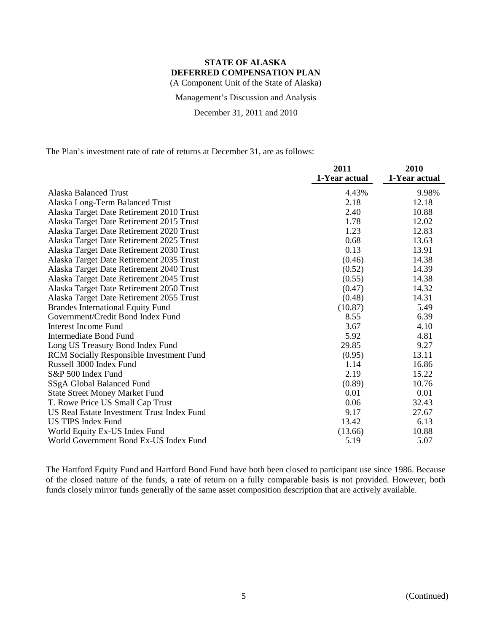Management's Discussion and Analysis

December 31, 2011 and 2010

The Plan's investment rate of rate of returns at December 31, are as follows:

|                                                 | 2011          | 2010          |
|-------------------------------------------------|---------------|---------------|
|                                                 | 1-Year actual | 1-Year actual |
| Alaska Balanced Trust                           | 4.43%         | 9.98%         |
| Alaska Long-Term Balanced Trust                 | 2.18          | 12.18         |
| Alaska Target Date Retirement 2010 Trust        | 2.40          | 10.88         |
| Alaska Target Date Retirement 2015 Trust        | 1.78          | 12.02         |
| Alaska Target Date Retirement 2020 Trust        | 1.23          | 12.83         |
| Alaska Target Date Retirement 2025 Trust        | 0.68          | 13.63         |
| Alaska Target Date Retirement 2030 Trust        | 0.13          | 13.91         |
| Alaska Target Date Retirement 2035 Trust        | (0.46)        | 14.38         |
| Alaska Target Date Retirement 2040 Trust        | (0.52)        | 14.39         |
| Alaska Target Date Retirement 2045 Trust        | (0.55)        | 14.38         |
| Alaska Target Date Retirement 2050 Trust        | (0.47)        | 14.32         |
| Alaska Target Date Retirement 2055 Trust        | (0.48)        | 14.31         |
| <b>Brandes International Equity Fund</b>        | (10.87)       | 5.49          |
| Government/Credit Bond Index Fund               | 8.55          | 6.39          |
| Interest Income Fund                            | 3.67          | 4.10          |
| Intermediate Bond Fund                          | 5.92          | 4.81          |
| Long US Treasury Bond Index Fund                | 29.85         | 9.27          |
| <b>RCM Socially Responsible Investment Fund</b> | (0.95)        | 13.11         |
| Russell 3000 Index Fund                         | 1.14          | 16.86         |
| S&P 500 Index Fund                              | 2.19          | 15.22         |
| SSgA Global Balanced Fund                       | (0.89)        | 10.76         |
| <b>State Street Money Market Fund</b>           | 0.01          | 0.01          |
| T. Rowe Price US Small Cap Trust                | 0.06          | 32.43         |
| US Real Estate Investment Trust Index Fund      | 9.17          | 27.67         |
| <b>US TIPS Index Fund</b>                       | 13.42         | 6.13          |
| World Equity Ex-US Index Fund                   | (13.66)       | 10.88         |
| World Government Bond Ex-US Index Fund          | 5.19          | 5.07          |

The Hartford Equity Fund and Hartford Bond Fund have both been closed to participant use since 1986. Because of the closed nature of the funds, a rate of return on a fully comparable basis is not provided. However, both funds closely mirror funds generally of the same asset composition description that are actively available.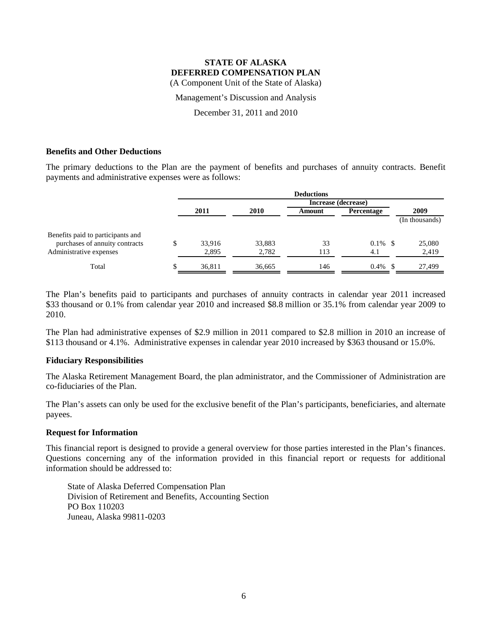Management's Discussion and Analysis

December 31, 2011 and 2010

### **Benefits and Other Deductions**

The primary deductions to the Plan are the payment of benefits and purchases of annuity contracts. Benefit payments and administrative expenses were as follows:

|                                   |   | <b>Deductions</b> |        |                     |            |                |
|-----------------------------------|---|-------------------|--------|---------------------|------------|----------------|
|                                   |   |                   |        | Increase (decrease) |            |                |
|                                   |   | 2011              | 2010   | Amount              | Percentage | 2009           |
|                                   |   |                   |        |                     |            | (In thousands) |
| Benefits paid to participants and |   |                   |        |                     |            |                |
| purchases of annuity contracts    | S | 33.916            | 33,883 | 33                  | $0.1\%$    | 25,080         |
| Administrative expenses           |   | 2,895             | 2,782  | 113                 | 4.1        | 2,419          |
| Total                             |   | 36,811            | 36.665 | 146                 | 0.4%       | 27,499         |

The Plan's benefits paid to participants and purchases of annuity contracts in calendar year 2011 increased \$33 thousand or 0.1% from calendar year 2010 and increased \$8.8 million or 35.1% from calendar year 2009 to 2010.

The Plan had administrative expenses of \$2.9 million in 2011 compared to \$2.8 million in 2010 an increase of \$113 thousand or 4.1%. Administrative expenses in calendar year 2010 increased by \$363 thousand or 15.0%.

#### **Fiduciary Responsibilities**

The Alaska Retirement Management Board, the plan administrator, and the Commissioner of Administration are co-fiduciaries of the Plan.

The Plan's assets can only be used for the exclusive benefit of the Plan's participants, beneficiaries, and alternate payees.

#### **Request for Information**

This financial report is designed to provide a general overview for those parties interested in the Plan's finances. Questions concerning any of the information provided in this financial report or requests for additional information should be addressed to:

State of Alaska Deferred Compensation Plan Division of Retirement and Benefits, Accounting Section PO Box 110203 Juneau, Alaska 99811-0203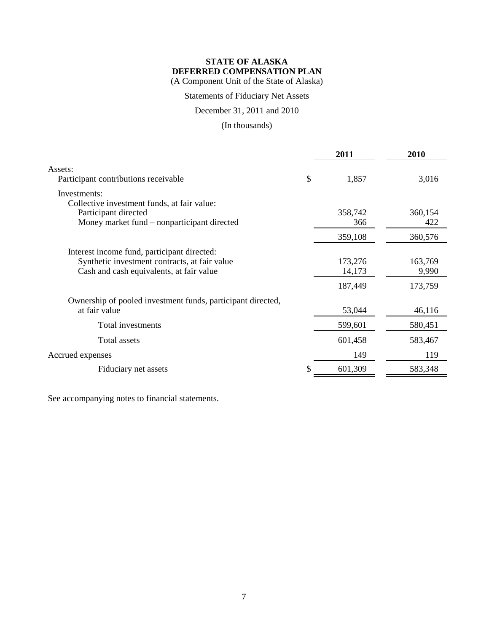Statements of Fiduciary Net Assets

December 31, 2011 and 2010

(In thousands)

|                                                                                                                                          | 2011              | 2010             |
|------------------------------------------------------------------------------------------------------------------------------------------|-------------------|------------------|
| Assets:<br>Participant contributions receivable                                                                                          | \$<br>1,857       | 3,016            |
| Investments:<br>Collective investment funds, at fair value:                                                                              |                   |                  |
| Participant directed<br>Money market fund – nonparticipant directed                                                                      | 358,742<br>366    | 360,154<br>422   |
|                                                                                                                                          | 359,108           | 360,576          |
| Interest income fund, participant directed:<br>Synthetic investment contracts, at fair value<br>Cash and cash equivalents, at fair value | 173,276<br>14,173 | 163,769<br>9,990 |
|                                                                                                                                          | 187,449           | 173,759          |
| Ownership of pooled investment funds, participant directed,<br>at fair value                                                             | 53,044            | 46,116           |
| Total investments                                                                                                                        | 599,601           | 580,451          |
| Total assets                                                                                                                             | 601,458           | 583,467          |
| Accrued expenses                                                                                                                         | 149               | 119              |
| Fiduciary net assets                                                                                                                     | 601,309           | 583,348          |

See accompanying notes to financial statements.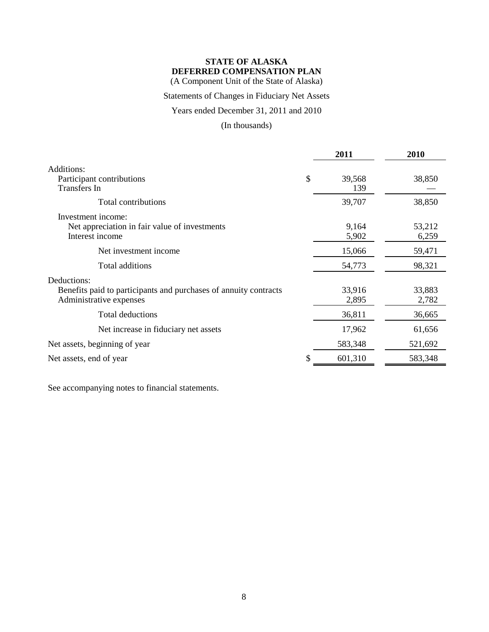(A Component Unit of the State of Alaska)

## Statements of Changes in Fiduciary Net Assets

Years ended December 31, 2011 and 2010

(In thousands)

|                                                                                                            | 2011                | 2010            |
|------------------------------------------------------------------------------------------------------------|---------------------|-----------------|
| Additions:<br>Participant contributions<br><b>Transfers</b> In                                             | \$<br>39,568<br>139 | 38,850          |
| Total contributions                                                                                        | 39,707              | 38,850          |
| Investment income:<br>Net appreciation in fair value of investments<br>Interest income                     | 9,164<br>5,902      | 53,212<br>6,259 |
| Net investment income                                                                                      | 15,066              | 59,471          |
| Total additions                                                                                            | 54,773              | 98,321          |
| Deductions:<br>Benefits paid to participants and purchases of annuity contracts<br>Administrative expenses | 33,916<br>2,895     | 33,883<br>2,782 |
| Total deductions                                                                                           | 36,811              | 36,665          |
| Net increase in fiduciary net assets                                                                       | 17,962              | 61,656          |
| Net assets, beginning of year                                                                              | 583,348             | 521,692         |
| Net assets, end of year                                                                                    | \$<br>601,310       | 583,348         |

See accompanying notes to financial statements.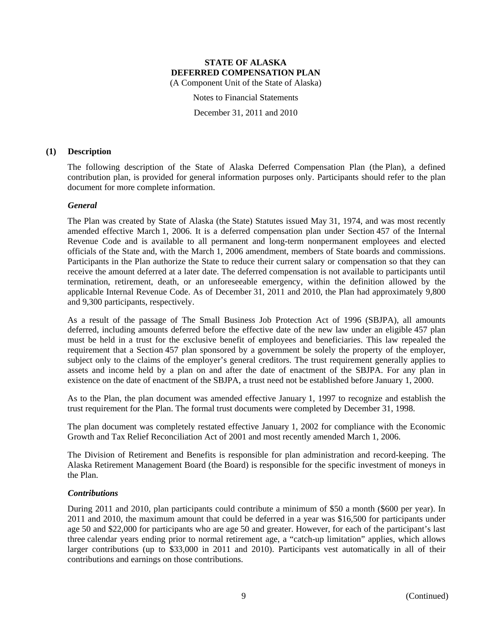Notes to Financial Statements

December 31, 2011 and 2010

### **(1) Description**

The following description of the State of Alaska Deferred Compensation Plan (the Plan), a defined contribution plan, is provided for general information purposes only. Participants should refer to the plan document for more complete information.

### *General*

The Plan was created by State of Alaska (the State) Statutes issued May 31, 1974, and was most recently amended effective March 1, 2006. It is a deferred compensation plan under Section 457 of the Internal Revenue Code and is available to all permanent and long-term nonpermanent employees and elected officials of the State and, with the March 1, 2006 amendment, members of State boards and commissions. Participants in the Plan authorize the State to reduce their current salary or compensation so that they can receive the amount deferred at a later date. The deferred compensation is not available to participants until termination, retirement, death, or an unforeseeable emergency, within the definition allowed by the applicable Internal Revenue Code. As of December 31, 2011 and 2010, the Plan had approximately 9,800 and 9,300 participants, respectively.

As a result of the passage of The Small Business Job Protection Act of 1996 (SBJPA), all amounts deferred, including amounts deferred before the effective date of the new law under an eligible 457 plan must be held in a trust for the exclusive benefit of employees and beneficiaries. This law repealed the requirement that a Section 457 plan sponsored by a government be solely the property of the employer, subject only to the claims of the employer's general creditors. The trust requirement generally applies to assets and income held by a plan on and after the date of enactment of the SBJPA. For any plan in existence on the date of enactment of the SBJPA, a trust need not be established before January 1, 2000.

As to the Plan, the plan document was amended effective January 1, 1997 to recognize and establish the trust requirement for the Plan. The formal trust documents were completed by December 31, 1998.

The plan document was completely restated effective January 1, 2002 for compliance with the Economic Growth and Tax Relief Reconciliation Act of 2001 and most recently amended March 1, 2006.

The Division of Retirement and Benefits is responsible for plan administration and record-keeping. The Alaska Retirement Management Board (the Board) is responsible for the specific investment of moneys in the Plan.

#### *Contributions*

During 2011 and 2010, plan participants could contribute a minimum of \$50 a month (\$600 per year). In 2011 and 2010, the maximum amount that could be deferred in a year was \$16,500 for participants under age 50 and \$22,000 for participants who are age 50 and greater. However, for each of the participant's last three calendar years ending prior to normal retirement age, a "catch-up limitation" applies, which allows larger contributions (up to \$33,000 in 2011 and 2010). Participants vest automatically in all of their contributions and earnings on those contributions.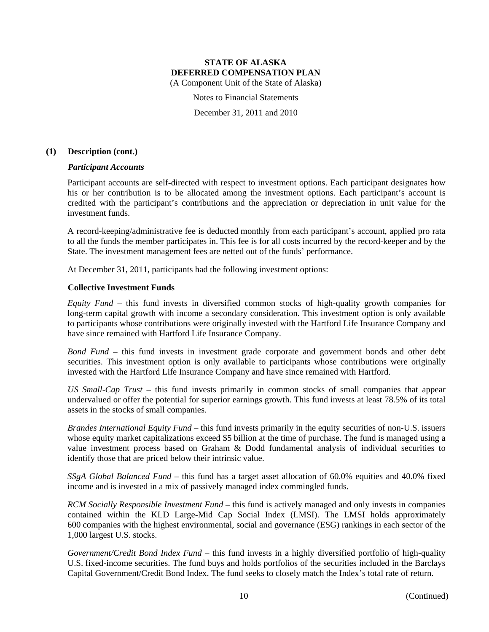(A Component Unit of the State of Alaska)

Notes to Financial Statements

December 31, 2011 and 2010

### **(1) Description (cont.)**

### *Participant Accounts*

Participant accounts are self-directed with respect to investment options. Each participant designates how his or her contribution is to be allocated among the investment options. Each participant's account is credited with the participant's contributions and the appreciation or depreciation in unit value for the investment funds.

A record-keeping/administrative fee is deducted monthly from each participant's account, applied pro rata to all the funds the member participates in. This fee is for all costs incurred by the record-keeper and by the State. The investment management fees are netted out of the funds' performance.

At December 31, 2011, participants had the following investment options:

### **Collective Investment Funds**

*Equity Fund* – this fund invests in diversified common stocks of high-quality growth companies for long-term capital growth with income a secondary consideration. This investment option is only available to participants whose contributions were originally invested with the Hartford Life Insurance Company and have since remained with Hartford Life Insurance Company.

*Bond Fund* – this fund invests in investment grade corporate and government bonds and other debt securities. This investment option is only available to participants whose contributions were originally invested with the Hartford Life Insurance Company and have since remained with Hartford.

*US Small-Cap Trust* – this fund invests primarily in common stocks of small companies that appear undervalued or offer the potential for superior earnings growth. This fund invests at least 78.5% of its total assets in the stocks of small companies.

*Brandes International Equity Fund* – this fund invests primarily in the equity securities of non-U.S. issuers whose equity market capitalizations exceed \$5 billion at the time of purchase. The fund is managed using a value investment process based on Graham & Dodd fundamental analysis of individual securities to identify those that are priced below their intrinsic value.

*SSgA Global Balanced Fund* – this fund has a target asset allocation of 60.0% equities and 40.0% fixed income and is invested in a mix of passively managed index commingled funds.

*RCM Socially Responsible Investment Fund* – this fund is actively managed and only invests in companies contained within the KLD Large-Mid Cap Social Index (LMSI). The LMSI holds approximately 600 companies with the highest environmental, social and governance (ESG) rankings in each sector of the 1,000 largest U.S. stocks.

*Government/Credit Bond Index Fund* – this fund invests in a highly diversified portfolio of high-quality U.S. fixed-income securities. The fund buys and holds portfolios of the securities included in the Barclays Capital Government/Credit Bond Index. The fund seeks to closely match the Index's total rate of return.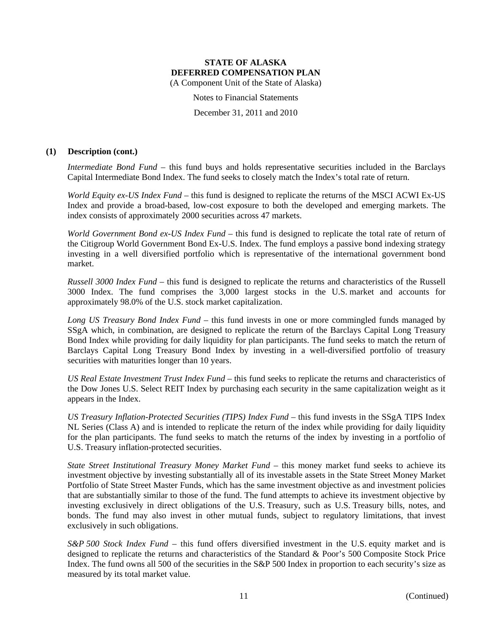(A Component Unit of the State of Alaska)

Notes to Financial Statements

December 31, 2011 and 2010

### **(1) Description (cont.)**

*Intermediate Bond Fund* – this fund buys and holds representative securities included in the Barclays Capital Intermediate Bond Index. The fund seeks to closely match the Index's total rate of return.

*World Equity ex-US Index Fund* – this fund is designed to replicate the returns of the MSCI ACWI Ex-US Index and provide a broad-based, low-cost exposure to both the developed and emerging markets. The index consists of approximately 2000 securities across 47 markets.

*World Government Bond ex-US Index Fund* – this fund is designed to replicate the total rate of return of the Citigroup World Government Bond Ex-U.S. Index. The fund employs a passive bond indexing strategy investing in a well diversified portfolio which is representative of the international government bond market.

*Russell 3000 Index Fund* – this fund is designed to replicate the returns and characteristics of the Russell 3000 Index. The fund comprises the 3,000 largest stocks in the U.S. market and accounts for approximately 98.0% of the U.S. stock market capitalization.

*Long US Treasury Bond Index Fund* – this fund invests in one or more commingled funds managed by SSgA which, in combination, are designed to replicate the return of the Barclays Capital Long Treasury Bond Index while providing for daily liquidity for plan participants. The fund seeks to match the return of Barclays Capital Long Treasury Bond Index by investing in a well-diversified portfolio of treasury securities with maturities longer than 10 years.

*US Real Estate Investment Trust Index Fund* – this fund seeks to replicate the returns and characteristics of the Dow Jones U.S. Select REIT Index by purchasing each security in the same capitalization weight as it appears in the Index.

*US Treasury Inflation-Protected Securities (TIPS) Index Fund* – this fund invests in the SSgA TIPS Index NL Series (Class A) and is intended to replicate the return of the index while providing for daily liquidity for the plan participants. The fund seeks to match the returns of the index by investing in a portfolio of U.S. Treasury inflation-protected securities.

*State Street Institutional Treasury Money Market Fund* – this money market fund seeks to achieve its investment objective by investing substantially all of its investable assets in the State Street Money Market Portfolio of State Street Master Funds, which has the same investment objective as and investment policies that are substantially similar to those of the fund. The fund attempts to achieve its investment objective by investing exclusively in direct obligations of the U.S. Treasury, such as U.S. Treasury bills, notes, and bonds. The fund may also invest in other mutual funds, subject to regulatory limitations, that invest exclusively in such obligations.

*S&P 500 Stock Index Fund* – this fund offers diversified investment in the U.S. equity market and is designed to replicate the returns and characteristics of the Standard & Poor's 500 Composite Stock Price Index. The fund owns all 500 of the securities in the S&P 500 Index in proportion to each security's size as measured by its total market value.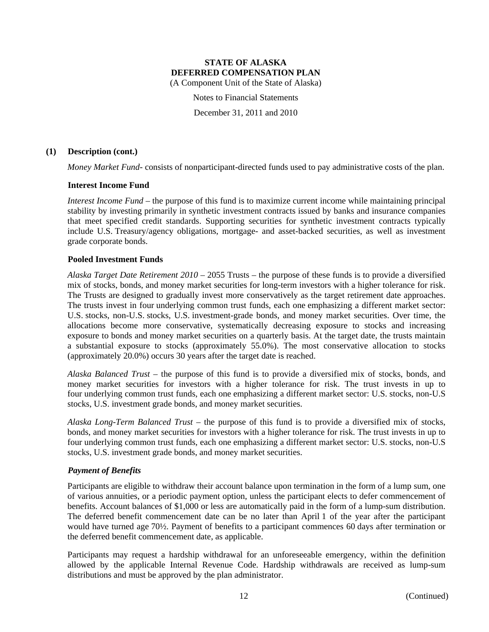(A Component Unit of the State of Alaska)

Notes to Financial Statements

December 31, 2011 and 2010

### **(1) Description (cont.)**

*Money Market Fund*- consists of nonparticipant-directed funds used to pay administrative costs of the plan.

### **Interest Income Fund**

*Interest Income Fund* – the purpose of this fund is to maximize current income while maintaining principal stability by investing primarily in synthetic investment contracts issued by banks and insurance companies that meet specified credit standards. Supporting securities for synthetic investment contracts typically include U.S. Treasury/agency obligations, mortgage- and asset-backed securities, as well as investment grade corporate bonds.

### **Pooled Investment Funds**

*Alaska Target Date Retirement 2010* – 2055 Trusts – the purpose of these funds is to provide a diversified mix of stocks, bonds, and money market securities for long-term investors with a higher tolerance for risk. The Trusts are designed to gradually invest more conservatively as the target retirement date approaches. The trusts invest in four underlying common trust funds, each one emphasizing a different market sector: U.S. stocks, non-U.S. stocks, U.S. investment-grade bonds, and money market securities. Over time, the allocations become more conservative, systematically decreasing exposure to stocks and increasing exposure to bonds and money market securities on a quarterly basis. At the target date, the trusts maintain a substantial exposure to stocks (approximately 55.0%). The most conservative allocation to stocks (approximately 20.0%) occurs 30 years after the target date is reached.

*Alaska Balanced Trust* – the purpose of this fund is to provide a diversified mix of stocks, bonds, and money market securities for investors with a higher tolerance for risk. The trust invests in up to four underlying common trust funds, each one emphasizing a different market sector: U.S. stocks, non-U.S stocks, U.S. investment grade bonds, and money market securities.

*Alaska Long-Term Balanced Trust* – the purpose of this fund is to provide a diversified mix of stocks, bonds, and money market securities for investors with a higher tolerance for risk. The trust invests in up to four underlying common trust funds, each one emphasizing a different market sector: U.S. stocks, non-U.S stocks, U.S. investment grade bonds, and money market securities.

#### *Payment of Benefits*

Participants are eligible to withdraw their account balance upon termination in the form of a lump sum, one of various annuities, or a periodic payment option, unless the participant elects to defer commencement of benefits. Account balances of \$1,000 or less are automatically paid in the form of a lump-sum distribution. The deferred benefit commencement date can be no later than April 1 of the year after the participant would have turned age 70½. Payment of benefits to a participant commences 60 days after termination or the deferred benefit commencement date, as applicable.

Participants may request a hardship withdrawal for an unforeseeable emergency, within the definition allowed by the applicable Internal Revenue Code. Hardship withdrawals are received as lump-sum distributions and must be approved by the plan administrator.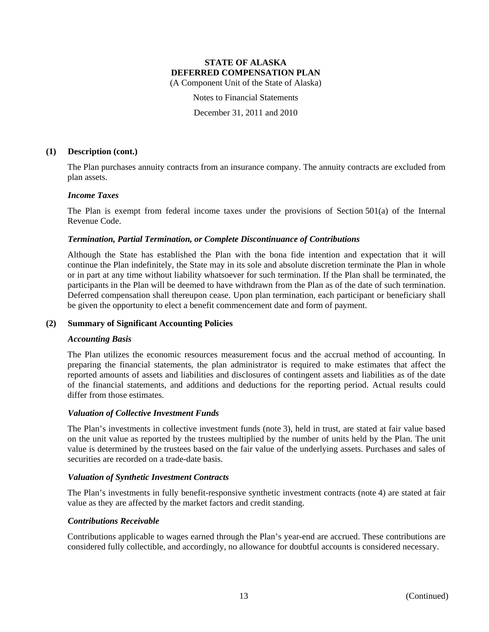(A Component Unit of the State of Alaska)

Notes to Financial Statements

December 31, 2011 and 2010

### **(1) Description (cont.)**

The Plan purchases annuity contracts from an insurance company. The annuity contracts are excluded from plan assets.

### *Income Taxes*

The Plan is exempt from federal income taxes under the provisions of Section 501(a) of the Internal Revenue Code.

### *Termination, Partial Termination, or Complete Discontinuance of Contributions*

Although the State has established the Plan with the bona fide intention and expectation that it will continue the Plan indefinitely, the State may in its sole and absolute discretion terminate the Plan in whole or in part at any time without liability whatsoever for such termination. If the Plan shall be terminated, the participants in the Plan will be deemed to have withdrawn from the Plan as of the date of such termination. Deferred compensation shall thereupon cease. Upon plan termination, each participant or beneficiary shall be given the opportunity to elect a benefit commencement date and form of payment.

#### **(2) Summary of Significant Accounting Policies**

#### *Accounting Basis*

The Plan utilizes the economic resources measurement focus and the accrual method of accounting. In preparing the financial statements, the plan administrator is required to make estimates that affect the reported amounts of assets and liabilities and disclosures of contingent assets and liabilities as of the date of the financial statements, and additions and deductions for the reporting period. Actual results could differ from those estimates.

### *Valuation of Collective Investment Funds*

The Plan's investments in collective investment funds (note 3), held in trust, are stated at fair value based on the unit value as reported by the trustees multiplied by the number of units held by the Plan. The unit value is determined by the trustees based on the fair value of the underlying assets. Purchases and sales of securities are recorded on a trade-date basis.

#### *Valuation of Synthetic Investment Contracts*

The Plan's investments in fully benefit-responsive synthetic investment contracts (note 4) are stated at fair value as they are affected by the market factors and credit standing.

#### *Contributions Receivable*

Contributions applicable to wages earned through the Plan's year-end are accrued. These contributions are considered fully collectible, and accordingly, no allowance for doubtful accounts is considered necessary.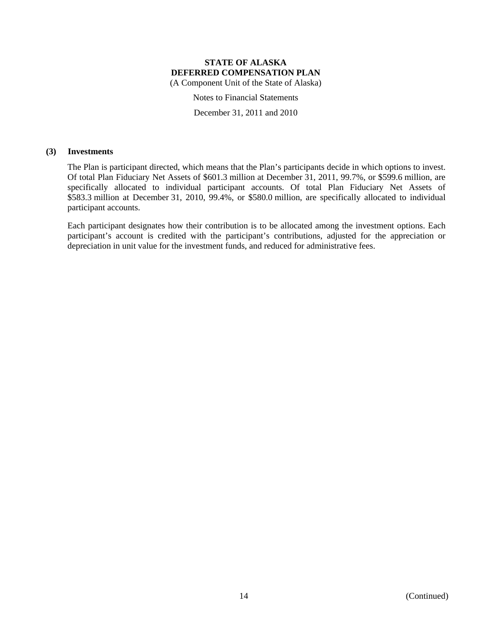(A Component Unit of the State of Alaska)

Notes to Financial Statements

December 31, 2011 and 2010

#### **(3) Investments**

The Plan is participant directed, which means that the Plan's participants decide in which options to invest. Of total Plan Fiduciary Net Assets of \$601.3 million at December 31, 2011, 99.7%, or \$599.6 million, are specifically allocated to individual participant accounts. Of total Plan Fiduciary Net Assets of \$583.3 million at December 31, 2010, 99.4%, or \$580.0 million, are specifically allocated to individual participant accounts.

Each participant designates how their contribution is to be allocated among the investment options. Each participant's account is credited with the participant's contributions, adjusted for the appreciation or depreciation in unit value for the investment funds, and reduced for administrative fees.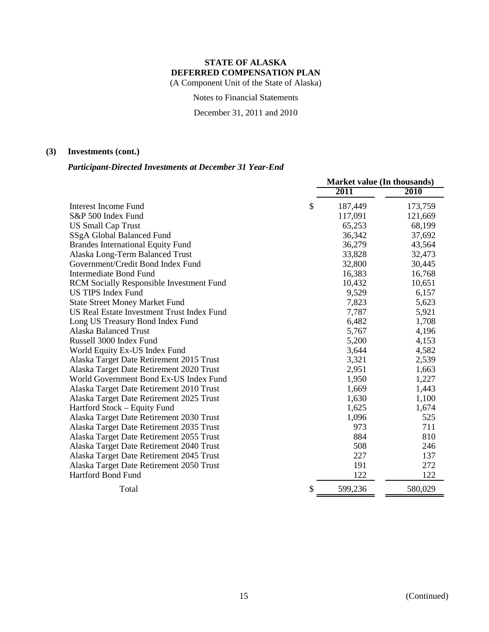(A Component Unit of the State of Alaska)

Notes to Financial Statements

December 31, 2011 and 2010

## **(3) Investments (cont.)**

## *Participant-Directed Investments at December 31 Year-End*

|                                                 | <b>Market value (In thousands)</b> |         |  |  |
|-------------------------------------------------|------------------------------------|---------|--|--|
|                                                 | 2011                               | 2010    |  |  |
| Interest Income Fund                            | \$<br>187,449                      | 173,759 |  |  |
| S&P 500 Index Fund                              | 117,091                            | 121,669 |  |  |
| <b>US Small Cap Trust</b>                       | 65,253                             | 68,199  |  |  |
| SSgA Global Balanced Fund                       | 36,342                             | 37,692  |  |  |
| <b>Brandes International Equity Fund</b>        | 36,279                             | 43,564  |  |  |
| Alaska Long-Term Balanced Trust                 | 33,828                             | 32,473  |  |  |
| Government/Credit Bond Index Fund               | 32,800                             | 30,445  |  |  |
| <b>Intermediate Bond Fund</b>                   | 16,383                             | 16,768  |  |  |
| <b>RCM Socially Responsible Investment Fund</b> | 10,432                             | 10,651  |  |  |
| <b>US TIPS Index Fund</b>                       | 9,529                              | 6,157   |  |  |
| <b>State Street Money Market Fund</b>           | 7,823                              | 5,623   |  |  |
| US Real Estate Investment Trust Index Fund      | 7,787                              | 5,921   |  |  |
| Long US Treasury Bond Index Fund                | 6,482                              | 1,708   |  |  |
| <b>Alaska Balanced Trust</b>                    | 5,767                              | 4,196   |  |  |
| Russell 3000 Index Fund                         | 5,200                              | 4,153   |  |  |
| World Equity Ex-US Index Fund                   | 3,644                              | 4,582   |  |  |
| Alaska Target Date Retirement 2015 Trust        | 3,321                              | 2,539   |  |  |
| Alaska Target Date Retirement 2020 Trust        | 2,951                              | 1,663   |  |  |
| World Government Bond Ex-US Index Fund          | 1,950                              | 1,227   |  |  |
| Alaska Target Date Retirement 2010 Trust        | 1,669                              | 1,443   |  |  |
| Alaska Target Date Retirement 2025 Trust        | 1,630                              | 1,100   |  |  |
| Hartford Stock – Equity Fund                    | 1,625                              | 1,674   |  |  |
| Alaska Target Date Retirement 2030 Trust        | 1,096                              | 525     |  |  |
| Alaska Target Date Retirement 2035 Trust        | 973                                | 711     |  |  |
| Alaska Target Date Retirement 2055 Trust        | 884                                | 810     |  |  |
| Alaska Target Date Retirement 2040 Trust        | 508                                | 246     |  |  |
| Alaska Target Date Retirement 2045 Trust        | 227                                | 137     |  |  |
| Alaska Target Date Retirement 2050 Trust        | 191                                | 272     |  |  |
| <b>Hartford Bond Fund</b>                       | 122                                | 122     |  |  |
| Total                                           | \$<br>599,236                      | 580,029 |  |  |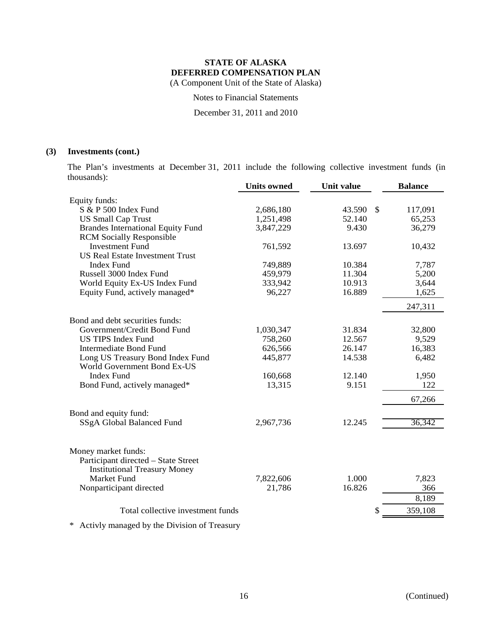(A Component Unit of the State of Alaska)

Notes to Financial Statements

December 31, 2011 and 2010

### **(3) Investments (cont.)**

The Plan's investments at December 31, 2011 include the following collective investment funds (in thousands):

|                                             | <b>Units owned</b> | <b>Unit value</b> |     | <b>Balance</b> |
|---------------------------------------------|--------------------|-------------------|-----|----------------|
| Equity funds:                               |                    |                   |     |                |
| S & P 500 Index Fund                        | 2,686,180          | 43.590            | -\$ | 117,091        |
| <b>US Small Cap Trust</b>                   | 1,251,498          | 52.140            |     | 65,253         |
| <b>Brandes International Equity Fund</b>    | 3,847,229          | 9.430             |     | 36,279         |
| <b>RCM Socially Responsible</b>             |                    |                   |     |                |
| <b>Investment Fund</b>                      | 761,592            | 13.697            |     | 10,432         |
| <b>US Real Estate Investment Trust</b>      |                    |                   |     |                |
| <b>Index Fund</b>                           | 749,889            | 10.384            |     | 7,787          |
| Russell 3000 Index Fund                     | 459,979            | 11.304            |     | 5,200          |
| World Equity Ex-US Index Fund               | 333,942            | 10.913            |     | 3,644          |
| Equity Fund, actively managed*              | 96,227             | 16.889            |     | 1,625          |
|                                             |                    |                   |     | 247,311        |
| Bond and debt securities funds:             |                    |                   |     |                |
| Government/Credit Bond Fund                 | 1,030,347          | 31.834            |     | 32,800         |
| <b>US TIPS Index Fund</b>                   | 758,260            | 12.567            |     | 9,529          |
| <b>Intermediate Bond Fund</b>               | 626,566            | 26.147            |     | 16,383         |
| Long US Treasury Bond Index Fund            | 445,877            | 14.538            |     | 6,482          |
| World Government Bond Ex-US                 |                    |                   |     |                |
| <b>Index Fund</b>                           | 160,668            | 12.140            |     | 1,950          |
| Bond Fund, actively managed*                | 13,315             | 9.151             |     | 122            |
|                                             |                    |                   |     | 67,266         |
| Bond and equity fund:                       |                    |                   |     |                |
| SSgA Global Balanced Fund                   | 2,967,736          | 12.245            |     | 36,342         |
|                                             |                    |                   |     |                |
| Money market funds:                         |                    |                   |     |                |
| Participant directed - State Street         |                    |                   |     |                |
| <b>Institutional Treasury Money</b>         |                    |                   |     |                |
| <b>Market Fund</b>                          | 7,822,606          | 1.000             |     | 7,823          |
| Nonparticipant directed                     | 21,786             | 16.826            |     | 366            |
|                                             |                    |                   |     | 8,189          |
| Total collective investment funds           |                    |                   |     | 359,108        |
| A other monogood by the Division of Tuesaum |                    |                   |     |                |

\* Activly managed by the Division of Treasury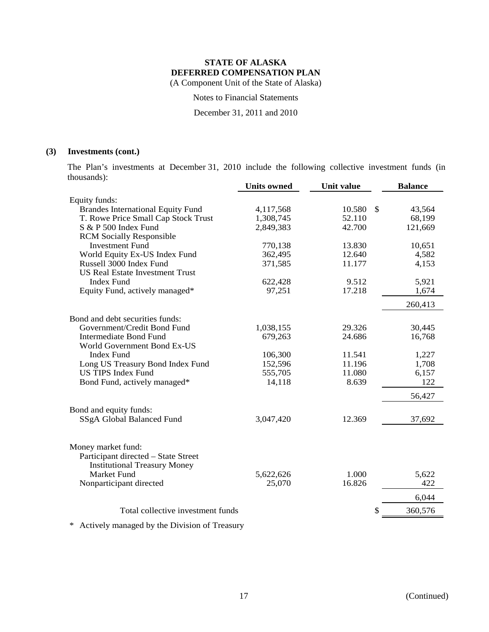(A Component Unit of the State of Alaska)

Notes to Financial Statements

December 31, 2011 and 2010

## **(3) Investments (cont.)**

The Plan's investments at December 31, 2010 include the following collective investment funds (in thousands):

|                                          | <b>Units owned</b> | <b>Unit value</b> | <b>Balance</b> |
|------------------------------------------|--------------------|-------------------|----------------|
| Equity funds:                            |                    |                   |                |
| <b>Brandes International Equity Fund</b> | 4,117,568          | 10.580 \$         | 43,564         |
| T. Rowe Price Small Cap Stock Trust      | 1,308,745          | 52.110            | 68,199         |
| S & P 500 Index Fund                     | 2,849,383          | 42.700            | 121,669        |
| <b>RCM Socially Responsible</b>          |                    |                   |                |
| <b>Investment Fund</b>                   | 770,138            | 13.830            | 10,651         |
| World Equity Ex-US Index Fund            | 362,495            | 12.640            | 4,582          |
| Russell 3000 Index Fund                  | 371,585            | 11.177            | 4,153          |
| <b>US Real Estate Investment Trust</b>   |                    |                   |                |
| <b>Index Fund</b>                        | 622,428            | 9.512             | 5,921          |
| Equity Fund, actively managed*           | 97,251             | 17.218            | 1,674          |
|                                          |                    |                   | 260,413        |
| Bond and debt securities funds:          |                    |                   |                |
| Government/Credit Bond Fund              | 1,038,155          | 29.326            | 30,445         |
| <b>Intermediate Bond Fund</b>            | 679,263            | 24.686            | 16,768         |
| World Government Bond Ex-US              |                    |                   |                |
| <b>Index Fund</b>                        | 106,300            | 11.541            | 1,227          |
| Long US Treasury Bond Index Fund         | 152,596            | 11.196            | 1,708          |
| <b>US TIPS Index Fund</b>                | 555,705            | 11.080            | 6,157          |
| Bond Fund, actively managed*             | 14,118             | 8.639             | 122            |
|                                          |                    |                   | 56,427         |
| Bond and equity funds:                   |                    |                   |                |
| SSgA Global Balanced Fund                | 3,047,420          | 12.369            | 37,692         |
|                                          |                    |                   |                |
| Money market fund:                       |                    |                   |                |
| Participant directed - State Street      |                    |                   |                |
| <b>Institutional Treasury Money</b>      |                    |                   |                |
| Market Fund                              | 5,622,626          | 1.000             | 5,622          |
| Nonparticipant directed                  | 25,070             | 16.826            | 422            |
|                                          |                    |                   | 6,044          |
| Total collective investment funds        |                    |                   | 360,576        |
|                                          |                    |                   |                |

\* Actively managed by the Division of Treasury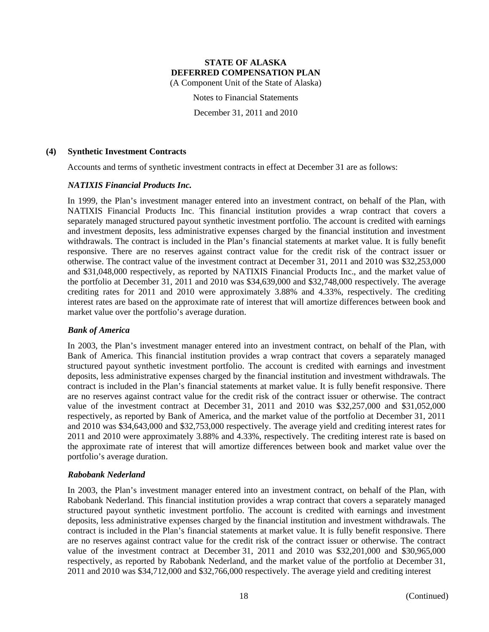(A Component Unit of the State of Alaska)

Notes to Financial Statements

December 31, 2011 and 2010

### **(4) Synthetic Investment Contracts**

Accounts and terms of synthetic investment contracts in effect at December 31 are as follows:

### *NATIXIS Financial Products Inc.*

In 1999, the Plan's investment manager entered into an investment contract, on behalf of the Plan, with NATIXIS Financial Products Inc. This financial institution provides a wrap contract that covers a separately managed structured payout synthetic investment portfolio. The account is credited with earnings and investment deposits, less administrative expenses charged by the financial institution and investment withdrawals. The contract is included in the Plan's financial statements at market value. It is fully benefit responsive. There are no reserves against contract value for the credit risk of the contract issuer or otherwise. The contract value of the investment contract at December 31, 2011 and 2010 was \$32,253,000 and \$31,048,000 respectively, as reported by NATIXIS Financial Products Inc., and the market value of the portfolio at December 31, 2011 and 2010 was \$34,639,000 and \$32,748,000 respectively. The average crediting rates for 2011 and 2010 were approximately 3.88% and 4.33%, respectively. The crediting interest rates are based on the approximate rate of interest that will amortize differences between book and market value over the portfolio's average duration.

### *Bank of America*

In 2003, the Plan's investment manager entered into an investment contract, on behalf of the Plan, with Bank of America. This financial institution provides a wrap contract that covers a separately managed structured payout synthetic investment portfolio. The account is credited with earnings and investment deposits, less administrative expenses charged by the financial institution and investment withdrawals. The contract is included in the Plan's financial statements at market value. It is fully benefit responsive. There are no reserves against contract value for the credit risk of the contract issuer or otherwise. The contract value of the investment contract at December 31, 2011 and 2010 was \$32,257,000 and \$31,052,000 respectively, as reported by Bank of America, and the market value of the portfolio at December 31, 2011 and 2010 was \$34,643,000 and \$32,753,000 respectively. The average yield and crediting interest rates for 2011 and 2010 were approximately 3.88% and 4.33%, respectively. The crediting interest rate is based on the approximate rate of interest that will amortize differences between book and market value over the portfolio's average duration.

### *Rabobank Nederland*

In 2003, the Plan's investment manager entered into an investment contract, on behalf of the Plan, with Rabobank Nederland. This financial institution provides a wrap contract that covers a separately managed structured payout synthetic investment portfolio. The account is credited with earnings and investment deposits, less administrative expenses charged by the financial institution and investment withdrawals. The contract is included in the Plan's financial statements at market value. It is fully benefit responsive. There are no reserves against contract value for the credit risk of the contract issuer or otherwise. The contract value of the investment contract at December 31, 2011 and 2010 was \$32,201,000 and \$30,965,000 respectively, as reported by Rabobank Nederland, and the market value of the portfolio at December 31, 2011 and 2010 was \$34,712,000 and \$32,766,000 respectively. The average yield and crediting interest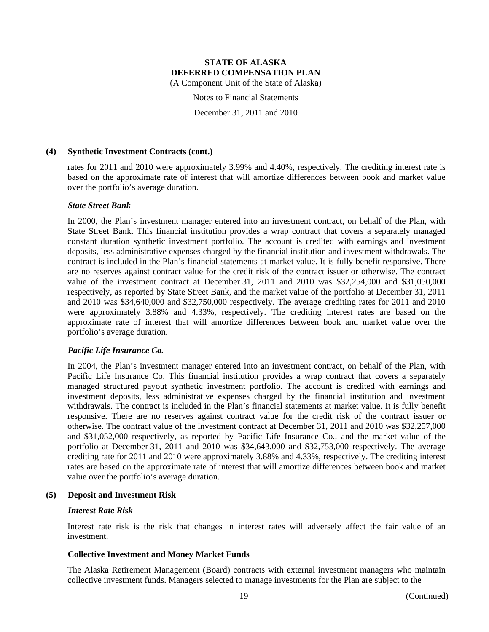(A Component Unit of the State of Alaska)

Notes to Financial Statements

December 31, 2011 and 2010

### **(4) Synthetic Investment Contracts (cont.)**

rates for 2011 and 2010 were approximately 3.99% and 4.40%, respectively. The crediting interest rate is based on the approximate rate of interest that will amortize differences between book and market value over the portfolio's average duration.

#### *State Street Bank*

In 2000, the Plan's investment manager entered into an investment contract, on behalf of the Plan, with State Street Bank. This financial institution provides a wrap contract that covers a separately managed constant duration synthetic investment portfolio. The account is credited with earnings and investment deposits, less administrative expenses charged by the financial institution and investment withdrawals. The contract is included in the Plan's financial statements at market value. It is fully benefit responsive. There are no reserves against contract value for the credit risk of the contract issuer or otherwise. The contract value of the investment contract at December 31, 2011 and 2010 was \$32,254,000 and \$31,050,000 respectively, as reported by State Street Bank, and the market value of the portfolio at December 31, 2011 and 2010 was \$34,640,000 and \$32,750,000 respectively. The average crediting rates for 2011 and 2010 were approximately 3.88% and 4.33%, respectively. The crediting interest rates are based on the approximate rate of interest that will amortize differences between book and market value over the portfolio's average duration.

### *Pacific Life Insurance Co.*

In 2004, the Plan's investment manager entered into an investment contract, on behalf of the Plan, with Pacific Life Insurance Co. This financial institution provides a wrap contract that covers a separately managed structured payout synthetic investment portfolio. The account is credited with earnings and investment deposits, less administrative expenses charged by the financial institution and investment withdrawals. The contract is included in the Plan's financial statements at market value. It is fully benefit responsive. There are no reserves against contract value for the credit risk of the contract issuer or otherwise. The contract value of the investment contract at December 31, 2011 and 2010 was \$32,257,000 and \$31,052,000 respectively, as reported by Pacific Life Insurance Co., and the market value of the portfolio at December 31, 2011 and 2010 was \$34,643,000 and \$32,753,000 respectively. The average crediting rate for 2011 and 2010 were approximately 3.88% and 4.33%, respectively. The crediting interest rates are based on the approximate rate of interest that will amortize differences between book and market value over the portfolio's average duration.

#### **(5) Deposit and Investment Risk**

#### *Interest Rate Risk*

Interest rate risk is the risk that changes in interest rates will adversely affect the fair value of an investment.

#### **Collective Investment and Money Market Funds**

The Alaska Retirement Management (Board) contracts with external investment managers who maintain collective investment funds. Managers selected to manage investments for the Plan are subject to the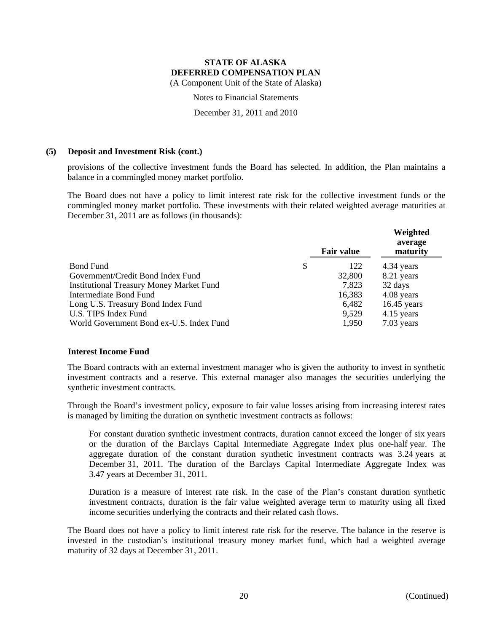(A Component Unit of the State of Alaska)

Notes to Financial Statements

December 31, 2011 and 2010

### **(5) Deposit and Investment Risk (cont.)**

provisions of the collective investment funds the Board has selected. In addition, the Plan maintains a balance in a commingled money market portfolio.

The Board does not have a policy to limit interest rate risk for the collective investment funds or the commingled money market portfolio. These investments with their related weighted average maturities at December 31, 2011 are as follows (in thousands):

|                                                 | <b>Fair value</b> | Weighted<br>average<br>maturity |
|-------------------------------------------------|-------------------|---------------------------------|
| <b>Bond Fund</b><br>\$                          | 122               | 4.34 years                      |
| Government/Credit Bond Index Fund               | 32,800            | 8.21 years                      |
| <b>Institutional Treasury Money Market Fund</b> | 7,823             | 32 days                         |
| Intermediate Bond Fund                          | 16,383            | 4.08 years                      |
| Long U.S. Treasury Bond Index Fund              | 6,482             | $16.45$ years                   |
| U.S. TIPS Index Fund                            | 9,529             | 4.15 years                      |
| World Government Bond ex-U.S. Index Fund        | 1,950             | 7.03 years                      |

### **Interest Income Fund**

The Board contracts with an external investment manager who is given the authority to invest in synthetic investment contracts and a reserve. This external manager also manages the securities underlying the synthetic investment contracts.

Through the Board's investment policy, exposure to fair value losses arising from increasing interest rates is managed by limiting the duration on synthetic investment contracts as follows:

For constant duration synthetic investment contracts, duration cannot exceed the longer of six years or the duration of the Barclays Capital Intermediate Aggregate Index plus one-half year. The aggregate duration of the constant duration synthetic investment contracts was 3.24 years at December 31, 2011. The duration of the Barclays Capital Intermediate Aggregate Index was 3.47 years at December 31, 2011.

Duration is a measure of interest rate risk. In the case of the Plan's constant duration synthetic investment contracts, duration is the fair value weighted average term to maturity using all fixed income securities underlying the contracts and their related cash flows.

The Board does not have a policy to limit interest rate risk for the reserve. The balance in the reserve is invested in the custodian's institutional treasury money market fund, which had a weighted average maturity of 32 days at December 31, 2011.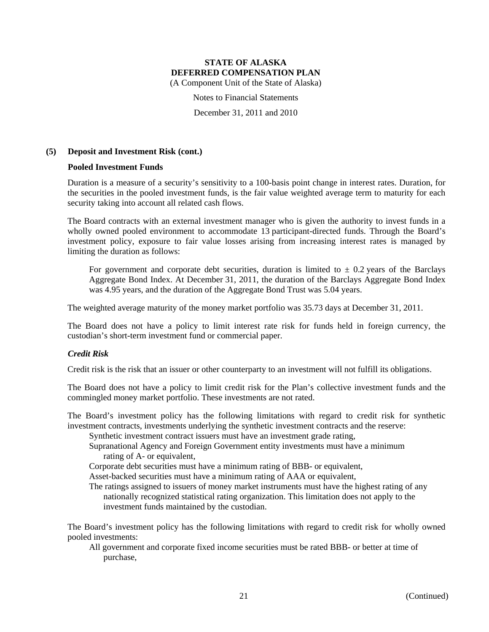(A Component Unit of the State of Alaska)

Notes to Financial Statements

December 31, 2011 and 2010

### **(5) Deposit and Investment Risk (cont.)**

#### **Pooled Investment Funds**

Duration is a measure of a security's sensitivity to a 100-basis point change in interest rates. Duration, for the securities in the pooled investment funds, is the fair value weighted average term to maturity for each security taking into account all related cash flows.

The Board contracts with an external investment manager who is given the authority to invest funds in a wholly owned pooled environment to accommodate 13 participant-directed funds. Through the Board's investment policy, exposure to fair value losses arising from increasing interest rates is managed by limiting the duration as follows:

For government and corporate debt securities, duration is limited to  $\pm$  0.2 years of the Barclays Aggregate Bond Index. At December 31, 2011, the duration of the Barclays Aggregate Bond Index was 4.95 years, and the duration of the Aggregate Bond Trust was 5.04 years.

The weighted average maturity of the money market portfolio was 35.73 days at December 31, 2011.

The Board does not have a policy to limit interest rate risk for funds held in foreign currency, the custodian's short-term investment fund or commercial paper.

### *Credit Risk*

Credit risk is the risk that an issuer or other counterparty to an investment will not fulfill its obligations.

The Board does not have a policy to limit credit risk for the Plan's collective investment funds and the commingled money market portfolio. These investments are not rated.

The Board's investment policy has the following limitations with regard to credit risk for synthetic investment contracts, investments underlying the synthetic investment contracts and the reserve:

Synthetic investment contract issuers must have an investment grade rating,

Supranational Agency and Foreign Government entity investments must have a minimum rating of A- or equivalent,

Corporate debt securities must have a minimum rating of BBB- or equivalent,

Asset-backed securities must have a minimum rating of AAA or equivalent,

The ratings assigned to issuers of money market instruments must have the highest rating of any nationally recognized statistical rating organization. This limitation does not apply to the investment funds maintained by the custodian.

The Board's investment policy has the following limitations with regard to credit risk for wholly owned pooled investments:

All government and corporate fixed income securities must be rated BBB- or better at time of purchase,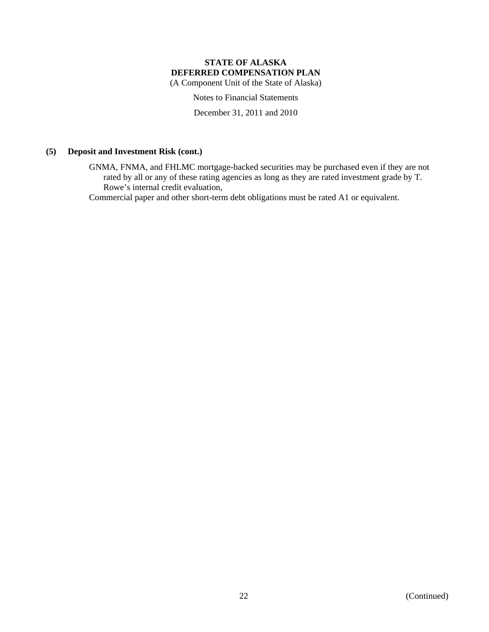(A Component Unit of the State of Alaska)

Notes to Financial Statements

December 31, 2011 and 2010

### **(5) Deposit and Investment Risk (cont.)**

GNMA, FNMA, and FHLMC mortgage-backed securities may be purchased even if they are not rated by all or any of these rating agencies as long as they are rated investment grade by T. Rowe's internal credit evaluation,

Commercial paper and other short-term debt obligations must be rated A1 or equivalent.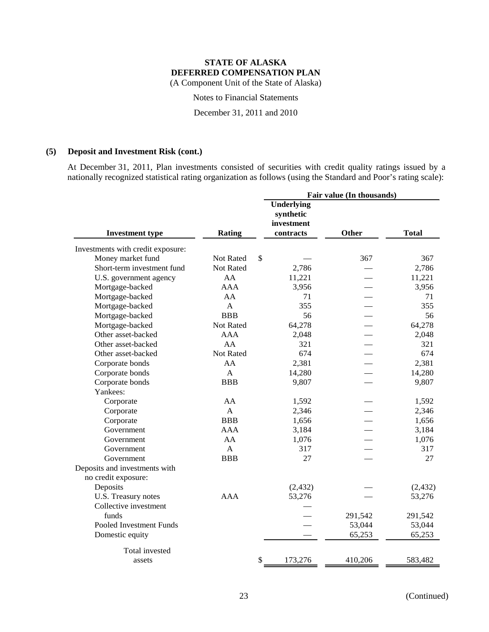Notes to Financial Statements

December 31, 2011 and 2010

### **(5) Deposit and Investment Risk (cont.)**

At December 31, 2011, Plan investments consisted of securities with credit quality ratings issued by a nationally recognized statistical rating organization as follows (using the Standard and Poor's rating scale):

|                                   |               | Fair value (In thousands)                                 |              |              |
|-----------------------------------|---------------|-----------------------------------------------------------|--------------|--------------|
| <b>Investment type</b>            | <b>Rating</b> | <b>Underlying</b><br>synthetic<br>investment<br>contracts | <b>Other</b> | <b>Total</b> |
| Investments with credit exposure: |               |                                                           |              |              |
| Money market fund                 | Not Rated     | \$                                                        | 367          | 367          |
| Short-term investment fund        | Not Rated     | 2,786                                                     |              | 2,786        |
| U.S. government agency            | AA            | 11,221                                                    |              | 11,221       |
| Mortgage-backed                   | AAA           | 3,956                                                     |              | 3,956        |
| Mortgage-backed                   | AA            | 71                                                        |              | 71           |
| Mortgage-backed                   | $\mathsf{A}$  | 355                                                       |              | 355          |
| Mortgage-backed                   | <b>BBB</b>    | 56                                                        |              | 56           |
| Mortgage-backed                   | Not Rated     | 64,278                                                    |              | 64,278       |
| Other asset-backed                | <b>AAA</b>    | 2,048                                                     |              | 2,048        |
| Other asset-backed                | AA            | 321                                                       |              | 321          |
| Other asset-backed                | Not Rated     | 674                                                       |              | 674          |
| Corporate bonds                   | AA            | 2,381                                                     |              | 2,381        |
| Corporate bonds                   | $\mathsf{A}$  | 14,280                                                    |              | 14,280       |
| Corporate bonds                   | <b>BBB</b>    | 9,807                                                     |              | 9,807        |
| Yankees:                          |               |                                                           |              |              |
| Corporate                         | AA            | 1,592                                                     |              | 1,592        |
| Corporate                         | $\mathbf{A}$  | 2,346                                                     |              | 2,346        |
| Corporate                         | <b>BBB</b>    | 1,656                                                     |              | 1,656        |
| Government                        | <b>AAA</b>    | 3,184                                                     |              | 3,184        |
| Government                        | AA            | 1,076                                                     |              | 1,076        |
| Government                        | $\mathbf{A}$  | 317                                                       |              | 317          |
| Government                        | <b>BBB</b>    | 27                                                        |              | 27           |
| Deposits and investments with     |               |                                                           |              |              |
| no credit exposure:               |               |                                                           |              |              |
| Deposits                          |               | (2, 432)                                                  |              | (2, 432)     |
| U.S. Treasury notes               | AAA           | 53,276                                                    |              | 53,276       |
| Collective investment             |               |                                                           |              |              |
| funds                             |               |                                                           | 291,542      | 291,542      |
| Pooled Investment Funds           |               |                                                           | 53,044       | 53,044       |
| Domestic equity                   |               |                                                           | 65,253       | 65,253       |
| Total invested                    |               |                                                           |              |              |
| assets                            |               | \$<br>173,276                                             | 410,206      | 583,482      |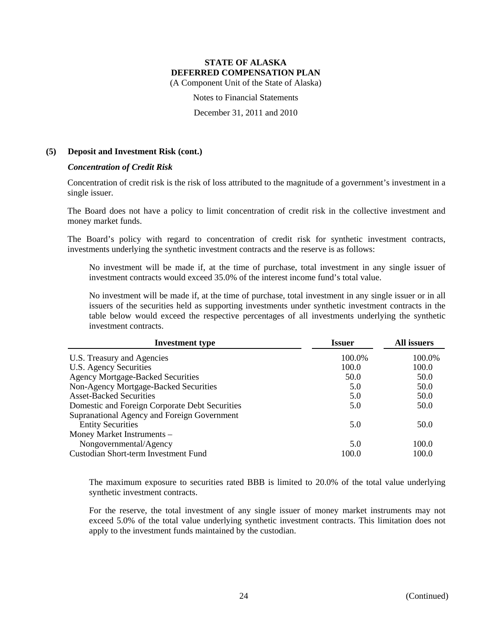(A Component Unit of the State of Alaska)

Notes to Financial Statements

December 31, 2011 and 2010

### **(5) Deposit and Investment Risk (cont.)**

### *Concentration of Credit Risk*

Concentration of credit risk is the risk of loss attributed to the magnitude of a government's investment in a single issuer.

The Board does not have a policy to limit concentration of credit risk in the collective investment and money market funds.

The Board's policy with regard to concentration of credit risk for synthetic investment contracts, investments underlying the synthetic investment contracts and the reserve is as follows:

No investment will be made if, at the time of purchase, total investment in any single issuer of investment contracts would exceed 35.0% of the interest income fund's total value.

No investment will be made if, at the time of purchase, total investment in any single issuer or in all issuers of the securities held as supporting investments under synthetic investment contracts in the table below would exceed the respective percentages of all investments underlying the synthetic investment contracts.

| <b>Investment type</b>                         | <b>Issuer</b> | All issuers |
|------------------------------------------------|---------------|-------------|
| U.S. Treasury and Agencies                     | 100.0%        | 100.0%      |
| U.S. Agency Securities                         | 100.0         | 100.0       |
| <b>Agency Mortgage-Backed Securities</b>       | 50.0          | 50.0        |
| Non-Agency Mortgage-Backed Securities          | 5.0           | 50.0        |
| <b>Asset-Backed Securities</b>                 | 5.0           | 50.0        |
| Domestic and Foreign Corporate Debt Securities | 5.0           | 50.0        |
| Supranational Agency and Foreign Government    |               |             |
| <b>Entity Securities</b>                       | 5.0           | 50.0        |
| Money Market Instruments -                     |               |             |
| Nongovernmental/Agency                         | 5.0           | 100.0       |
| Custodian Short-term Investment Fund           | 100.0         | 100.0       |

The maximum exposure to securities rated BBB is limited to 20.0% of the total value underlying synthetic investment contracts.

For the reserve, the total investment of any single issuer of money market instruments may not exceed 5.0% of the total value underlying synthetic investment contracts. This limitation does not apply to the investment funds maintained by the custodian.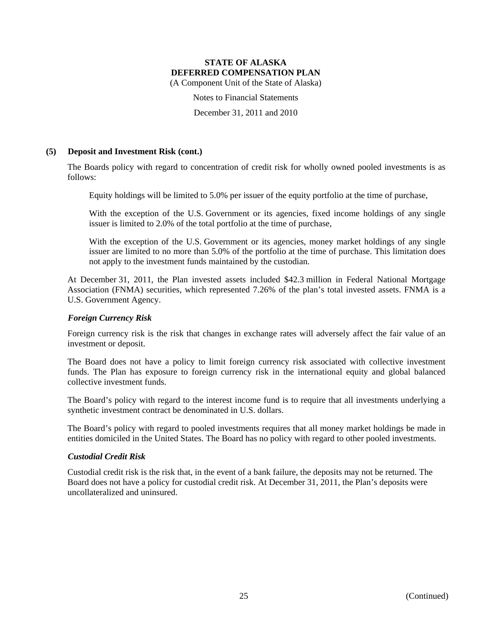(A Component Unit of the State of Alaska)

Notes to Financial Statements

December 31, 2011 and 2010

### **(5) Deposit and Investment Risk (cont.)**

The Boards policy with regard to concentration of credit risk for wholly owned pooled investments is as follows:

Equity holdings will be limited to 5.0% per issuer of the equity portfolio at the time of purchase,

With the exception of the U.S. Government or its agencies, fixed income holdings of any single issuer is limited to 2.0% of the total portfolio at the time of purchase,

With the exception of the U.S. Government or its agencies, money market holdings of any single issuer are limited to no more than 5.0% of the portfolio at the time of purchase. This limitation does not apply to the investment funds maintained by the custodian.

At December 31, 2011, the Plan invested assets included \$42.3 million in Federal National Mortgage Association (FNMA) securities, which represented 7.26% of the plan's total invested assets. FNMA is a U.S. Government Agency.

### *Foreign Currency Risk*

Foreign currency risk is the risk that changes in exchange rates will adversely affect the fair value of an investment or deposit.

The Board does not have a policy to limit foreign currency risk associated with collective investment funds. The Plan has exposure to foreign currency risk in the international equity and global balanced collective investment funds.

The Board's policy with regard to the interest income fund is to require that all investments underlying a synthetic investment contract be denominated in U.S. dollars.

The Board's policy with regard to pooled investments requires that all money market holdings be made in entities domiciled in the United States. The Board has no policy with regard to other pooled investments.

### *Custodial Credit Risk*

Custodial credit risk is the risk that, in the event of a bank failure, the deposits may not be returned. The Board does not have a policy for custodial credit risk. At December 31, 2011, the Plan's deposits were uncollateralized and uninsured.